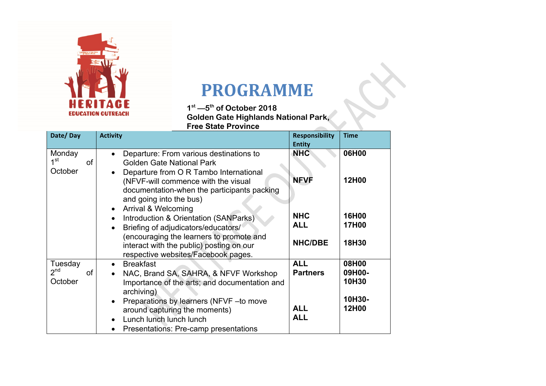

## **PROGRAMME**

**1st —5th of October 2018 Golden Gate Highlands National Park, Free State Province**

| Date/Day                                           | <b>Activity</b>                                                                                                                                                                                                                                                         | <b>Responsibility</b>                                     | <b>Time</b>                                 |
|----------------------------------------------------|-------------------------------------------------------------------------------------------------------------------------------------------------------------------------------------------------------------------------------------------------------------------------|-----------------------------------------------------------|---------------------------------------------|
|                                                    |                                                                                                                                                                                                                                                                         | <b>Entity</b>                                             |                                             |
| Monday<br>1 <sup>st</sup><br>of<br>October         | Departure: From various destinations to<br>$\bullet$<br><b>Golden Gate National Park</b><br>Departure from O R Tambo International<br>(NFVF-will commence with the visual<br>documentation-when the participants packing<br>and going into the bus)                     | <b>NHC</b><br><b>NFVF</b>                                 | 06H00<br>12H00                              |
|                                                    | Arrival & Welcoming<br>$\bullet$<br>Introduction & Orientation (SANParks)<br>$\bullet$<br>Briefing of adjudicators/educators/<br>encouraging the learners to promote and<br>interact with the public) posting on our<br>respective websites/Facebook pages.             | <b>NHC</b><br><b>ALL</b><br><b>NHC/DBE</b>                | 16H00<br>17H00<br>18H30                     |
| Tuesday<br>2 <sup>nd</sup><br><b>of</b><br>October | <b>Breakfast</b><br>NAC, Brand SA, SAHRA, & NFVF Workshop<br>Importance of the arts; and documentation and<br>archiving)<br>Preparations by learners (NFVF-to move<br>around capturing the moments)<br>Lunch lunch lunch lunch<br>Presentations: Pre-camp presentations | <b>ALL</b><br><b>Partners</b><br><b>ALL</b><br><b>ALL</b> | 08H00<br>09H00-<br>10H30<br>10H30-<br>12H00 |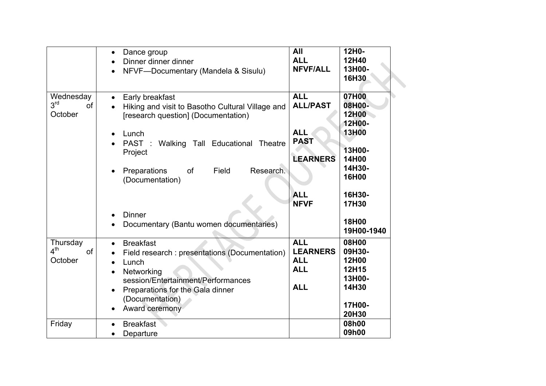|                                                      | Dance group<br>$\bullet$<br>Dinner dinner dinner<br>NFVF-Documentary (Mandela & Sisulu)<br>$\bullet$                                                                                                                                            | All<br><b>ALL</b><br><b>NFVF/ALL</b>                                    | 12H0-<br>12H40<br>13H00-<br>16H30                                       |
|------------------------------------------------------|-------------------------------------------------------------------------------------------------------------------------------------------------------------------------------------------------------------------------------------------------|-------------------------------------------------------------------------|-------------------------------------------------------------------------|
| Wednesday<br>3 <sup>rd</sup><br><b>of</b><br>October | Early breakfast<br>Hiking and visit to Basotho Cultural Village and<br>[research question] (Documentation)                                                                                                                                      | <b>ALL</b><br><b>ALL/PAST</b>                                           | 07H00<br>08H00-<br>12H00<br>12H00-                                      |
|                                                      | Lunch<br>Walking Tall Educational<br>PAST:<br>Theatre<br>Project                                                                                                                                                                                | <b>ALL</b><br><b>PAST</b><br><b>LEARNERS</b>                            | 13H00<br>13H00-<br>14H00                                                |
|                                                      | Research.<br>of<br>Field<br>Preparations<br>(Documentation)                                                                                                                                                                                     | <b>ALL</b>                                                              | 14H30-<br>16H00<br>16H30-                                               |
|                                                      | <b>Dinner</b><br>Documentary (Bantu women documentaries)                                                                                                                                                                                        | <b>NFVF</b>                                                             | 17H30<br>18H00<br>19H00-1940                                            |
| Thursday<br>4 <sup>th</sup><br><b>of</b><br>October  | <b>Breakfast</b><br>$\bullet$<br>Field research : presentations (Documentation)<br>Lunch<br>$\bullet$<br>Networking<br>$\bullet$<br>session/Entertainment/Performances<br>Preparations for the Gala dinner<br>(Documentation)<br>Award ceremony | <b>ALL</b><br><b>LEARNERS</b><br><b>ALL</b><br><b>ALL</b><br><b>ALL</b> | 08H00<br>09H30-<br>12H00<br>12H15<br>13H00-<br>14H30<br>17H00-<br>20H30 |
| Friday                                               | <b>Breakfast</b><br>Departure<br>$\bullet$                                                                                                                                                                                                      |                                                                         | 08h00<br>09h00                                                          |